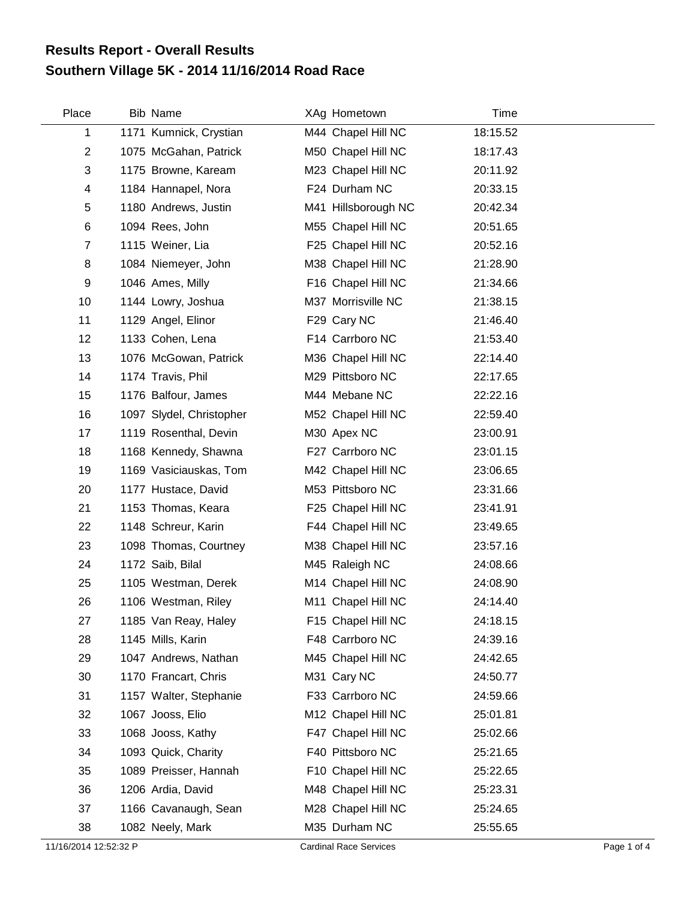## **Southern Village 5K - 2014 11/16/2014 Road Race Results Report - Overall Results**

| Place                   | <b>Bib Name</b>          | XAg Hometown        | Time     |  |
|-------------------------|--------------------------|---------------------|----------|--|
| 1                       | 1171 Kumnick, Crystian   | M44 Chapel Hill NC  | 18:15.52 |  |
| $\overline{2}$          | 1075 McGahan, Patrick    | M50 Chapel Hill NC  | 18:17.43 |  |
| 3                       | 1175 Browne, Kaream      | M23 Chapel Hill NC  | 20:11.92 |  |
| $\overline{\mathbf{4}}$ | 1184 Hannapel, Nora      | F24 Durham NC       | 20:33.15 |  |
| 5                       | 1180 Andrews, Justin     | M41 Hillsborough NC | 20:42.34 |  |
| $\,6$                   | 1094 Rees, John          | M55 Chapel Hill NC  | 20:51.65 |  |
| $\overline{7}$          | 1115 Weiner, Lia         | F25 Chapel Hill NC  | 20:52.16 |  |
| 8                       | 1084 Niemeyer, John      | M38 Chapel Hill NC  | 21:28.90 |  |
| 9                       | 1046 Ames, Milly         | F16 Chapel Hill NC  | 21:34.66 |  |
| 10                      | 1144 Lowry, Joshua       | M37 Morrisville NC  | 21:38.15 |  |
| 11                      | 1129 Angel, Elinor       | F29 Cary NC         | 21:46.40 |  |
| 12                      | 1133 Cohen, Lena         | F14 Carrboro NC     | 21:53.40 |  |
| 13                      | 1076 McGowan, Patrick    | M36 Chapel Hill NC  | 22:14.40 |  |
| 14                      | 1174 Travis, Phil        | M29 Pittsboro NC    | 22:17.65 |  |
| 15                      | 1176 Balfour, James      | M44 Mebane NC       | 22:22.16 |  |
| 16                      | 1097 Slydel, Christopher | M52 Chapel Hill NC  | 22:59.40 |  |
| 17                      | 1119 Rosenthal, Devin    | M30 Apex NC         | 23:00.91 |  |
| 18                      | 1168 Kennedy, Shawna     | F27 Carrboro NC     | 23:01.15 |  |
| 19                      | 1169 Vasiciauskas, Tom   | M42 Chapel Hill NC  | 23:06.65 |  |
| 20                      | 1177 Hustace, David      | M53 Pittsboro NC    | 23:31.66 |  |
| 21                      | 1153 Thomas, Keara       | F25 Chapel Hill NC  | 23:41.91 |  |
| 22                      | 1148 Schreur, Karin      | F44 Chapel Hill NC  | 23:49.65 |  |
| 23                      | 1098 Thomas, Courtney    | M38 Chapel Hill NC  | 23:57.16 |  |
| 24                      | 1172 Saib, Bilal         | M45 Raleigh NC      | 24:08.66 |  |
| 25                      | 1105 Westman, Derek      | M14 Chapel Hill NC  | 24:08.90 |  |
| 26                      | 1106 Westman, Riley      | M11 Chapel Hill NC  | 24:14.40 |  |
| 27                      | 1185 Van Reay, Haley     | F15 Chapel Hill NC  | 24:18.15 |  |
| 28                      | 1145 Mills, Karin        | F48 Carrboro NC     | 24:39.16 |  |
| 29                      | 1047 Andrews, Nathan     | M45 Chapel Hill NC  | 24:42.65 |  |
| 30                      | 1170 Francart, Chris     | M31 Cary NC         | 24:50.77 |  |
| 31                      | 1157 Walter, Stephanie   | F33 Carrboro NC     | 24:59.66 |  |
| 32                      | 1067 Jooss, Elio         | M12 Chapel Hill NC  | 25:01.81 |  |
| 33                      | 1068 Jooss, Kathy        | F47 Chapel Hill NC  | 25:02.66 |  |
| 34                      | 1093 Quick, Charity      | F40 Pittsboro NC    | 25:21.65 |  |
| 35                      | 1089 Preisser, Hannah    | F10 Chapel Hill NC  | 25:22.65 |  |
| 36                      | 1206 Ardia, David        | M48 Chapel Hill NC  | 25:23.31 |  |
| 37                      | 1166 Cavanaugh, Sean     | M28 Chapel Hill NC  | 25:24.65 |  |
| 38                      | 1082 Neely, Mark         | M35 Durham NC       | 25:55.65 |  |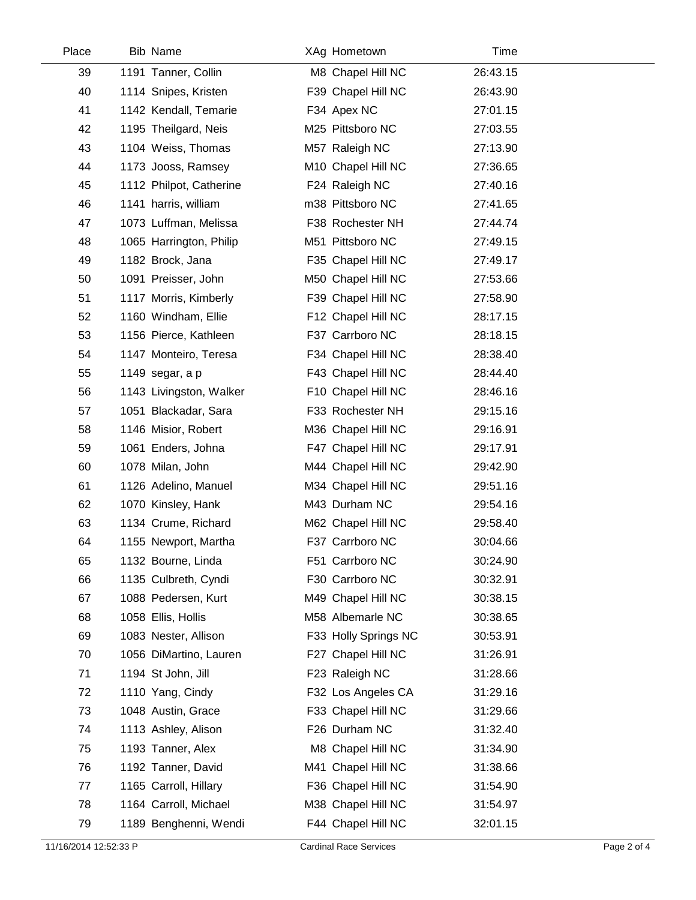| Place | Bib Name                | XAg Hometown         | Time     |
|-------|-------------------------|----------------------|----------|
| 39    | 1191 Tanner, Collin     | M8 Chapel Hill NC    | 26:43.15 |
| 40    | 1114 Snipes, Kristen    | F39 Chapel Hill NC   | 26:43.90 |
| 41    | 1142 Kendall, Temarie   | F34 Apex NC          | 27:01.15 |
| 42    | 1195 Theilgard, Neis    | M25 Pittsboro NC     | 27:03.55 |
| 43    | 1104 Weiss, Thomas      | M57 Raleigh NC       | 27:13.90 |
| 44    | 1173 Jooss, Ramsey      | M10 Chapel Hill NC   | 27:36.65 |
| 45    | 1112 Philpot, Catherine | F24 Raleigh NC       | 27:40.16 |
| 46    | 1141 harris, william    | m38 Pittsboro NC     | 27:41.65 |
| 47    | 1073 Luffman, Melissa   | F38 Rochester NH     | 27:44.74 |
| 48    | 1065 Harrington, Philip | M51 Pittsboro NC     | 27:49.15 |
| 49    | 1182 Brock, Jana        | F35 Chapel Hill NC   | 27:49.17 |
| 50    | 1091 Preisser, John     | M50 Chapel Hill NC   | 27:53.66 |
| 51    | 1117 Morris, Kimberly   | F39 Chapel Hill NC   | 27:58.90 |
| 52    | 1160 Windham, Ellie     | F12 Chapel Hill NC   | 28:17.15 |
| 53    | 1156 Pierce, Kathleen   | F37 Carrboro NC      | 28:18.15 |
| 54    | 1147 Monteiro, Teresa   | F34 Chapel Hill NC   | 28:38.40 |
| 55    | 1149 segar, a p         | F43 Chapel Hill NC   | 28:44.40 |
| 56    | 1143 Livingston, Walker | F10 Chapel Hill NC   | 28:46.16 |
| 57    | 1051 Blackadar, Sara    | F33 Rochester NH     | 29:15.16 |
| 58    | 1146 Misior, Robert     | M36 Chapel Hill NC   | 29:16.91 |
| 59    | 1061 Enders, Johna      | F47 Chapel Hill NC   | 29:17.91 |
| 60    | 1078 Milan, John        | M44 Chapel Hill NC   | 29:42.90 |
| 61    | 1126 Adelino, Manuel    | M34 Chapel Hill NC   | 29:51.16 |
| 62    | 1070 Kinsley, Hank      | M43 Durham NC        | 29:54.16 |
| 63    | 1134 Crume, Richard     | M62 Chapel Hill NC   | 29:58.40 |
| 64    | 1155 Newport, Martha    | F37 Carrboro NC      | 30:04.66 |
| 65    | 1132 Bourne, Linda      | F51 Carrboro NC      | 30:24.90 |
| 66    | 1135 Culbreth, Cyndi    | F30 Carrboro NC      | 30:32.91 |
| 67    | 1088 Pedersen, Kurt     | M49 Chapel Hill NC   | 30:38.15 |
| 68    | 1058 Ellis, Hollis      | M58 Albemarle NC     | 30:38.65 |
| 69    | 1083 Nester, Allison    | F33 Holly Springs NC | 30:53.91 |
| 70    | 1056 DiMartino, Lauren  | F27 Chapel Hill NC   | 31:26.91 |
| 71    | 1194 St John, Jill      | F23 Raleigh NC       | 31:28.66 |
| 72    | 1110 Yang, Cindy        | F32 Los Angeles CA   | 31:29.16 |
| 73    | 1048 Austin, Grace      | F33 Chapel Hill NC   | 31:29.66 |
| 74    | 1113 Ashley, Alison     | F26 Durham NC        | 31:32.40 |
| 75    | 1193 Tanner, Alex       | M8 Chapel Hill NC    | 31:34.90 |
| 76    | 1192 Tanner, David      | M41 Chapel Hill NC   | 31:38.66 |
| 77    | 1165 Carroll, Hillary   | F36 Chapel Hill NC   | 31:54.90 |
| 78    | 1164 Carroll, Michael   | M38 Chapel Hill NC   | 31:54.97 |
| 79    | 1189 Benghenni, Wendi   | F44 Chapel Hill NC   | 32:01.15 |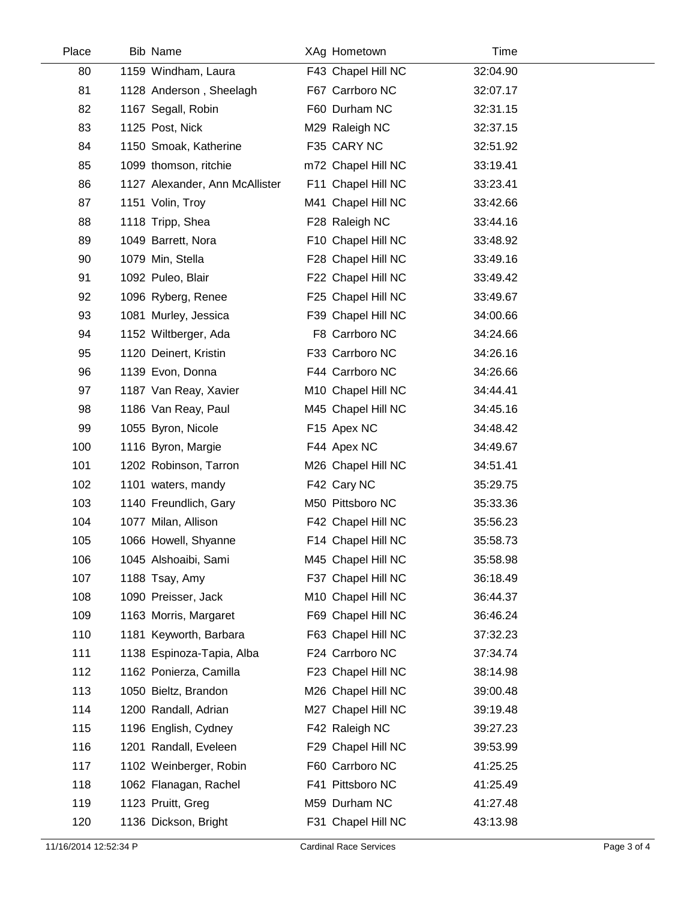| Place | Bib Name                       | XAg Hometown       | Time     |  |
|-------|--------------------------------|--------------------|----------|--|
| 80    | 1159 Windham, Laura            | F43 Chapel Hill NC | 32:04.90 |  |
| 81    | 1128 Anderson, Sheelagh        | F67 Carrboro NC    | 32:07.17 |  |
| 82    | 1167 Segall, Robin             | F60 Durham NC      | 32:31.15 |  |
| 83    | 1125 Post, Nick                | M29 Raleigh NC     | 32:37.15 |  |
| 84    | 1150 Smoak, Katherine          | F35 CARY NC        | 32:51.92 |  |
| 85    | 1099 thomson, ritchie          | m72 Chapel Hill NC | 33:19.41 |  |
| 86    | 1127 Alexander, Ann McAllister | F11 Chapel Hill NC | 33:23.41 |  |
| 87    | 1151 Volin, Troy               | M41 Chapel Hill NC | 33:42.66 |  |
| 88    | 1118 Tripp, Shea               | F28 Raleigh NC     | 33:44.16 |  |
| 89    | 1049 Barrett, Nora             | F10 Chapel Hill NC | 33:48.92 |  |
| 90    | 1079 Min, Stella               | F28 Chapel Hill NC | 33:49.16 |  |
| 91    | 1092 Puleo, Blair              | F22 Chapel Hill NC | 33:49.42 |  |
| 92    | 1096 Ryberg, Renee             | F25 Chapel Hill NC | 33:49.67 |  |
| 93    | 1081 Murley, Jessica           | F39 Chapel Hill NC | 34:00.66 |  |
| 94    | 1152 Wiltberger, Ada           | F8 Carrboro NC     | 34:24.66 |  |
| 95    | 1120 Deinert, Kristin          | F33 Carrboro NC    | 34:26.16 |  |
| 96    | 1139 Evon, Donna               | F44 Carrboro NC    | 34:26.66 |  |
| 97    | 1187 Van Reay, Xavier          | M10 Chapel Hill NC | 34:44.41 |  |
| 98    | 1186 Van Reay, Paul            | M45 Chapel Hill NC | 34:45.16 |  |
| 99    | 1055 Byron, Nicole             | F15 Apex NC        | 34:48.42 |  |
| 100   | 1116 Byron, Margie             | F44 Apex NC        | 34:49.67 |  |
| 101   | 1202 Robinson, Tarron          | M26 Chapel Hill NC | 34:51.41 |  |
| 102   | 1101 waters, mandy             | F42 Cary NC        | 35:29.75 |  |
| 103   | 1140 Freundlich, Gary          | M50 Pittsboro NC   | 35:33.36 |  |
| 104   | 1077 Milan, Allison            | F42 Chapel Hill NC | 35:56.23 |  |
| 105   | 1066 Howell, Shyanne           | F14 Chapel Hill NC | 35:58.73 |  |
| 106   | 1045 Alshoaibi, Sami           | M45 Chapel Hill NC | 35:58.98 |  |
| 107   | 1188 Tsay, Amy                 | F37 Chapel Hill NC | 36:18.49 |  |
| 108   | 1090 Preisser, Jack            | M10 Chapel Hill NC | 36:44.37 |  |
| 109   | 1163 Morris, Margaret          | F69 Chapel Hill NC | 36:46.24 |  |
| 110   | 1181 Keyworth, Barbara         | F63 Chapel Hill NC | 37:32.23 |  |
| 111   | 1138 Espinoza-Tapia, Alba      | F24 Carrboro NC    | 37:34.74 |  |
| 112   | 1162 Ponierza, Camilla         | F23 Chapel Hill NC | 38:14.98 |  |
| 113   | 1050 Bieltz, Brandon           | M26 Chapel Hill NC | 39:00.48 |  |
| 114   | 1200 Randall, Adrian           | M27 Chapel Hill NC | 39:19.48 |  |
| 115   | 1196 English, Cydney           | F42 Raleigh NC     | 39:27.23 |  |
| 116   | 1201 Randall, Eveleen          | F29 Chapel Hill NC | 39:53.99 |  |
| 117   | 1102 Weinberger, Robin         | F60 Carrboro NC    | 41:25.25 |  |
| 118   | 1062 Flanagan, Rachel          | F41 Pittsboro NC   | 41:25.49 |  |
| 119   | 1123 Pruitt, Greg              | M59 Durham NC      | 41:27.48 |  |
| 120   | 1136 Dickson, Bright           | F31 Chapel Hill NC | 43:13.98 |  |